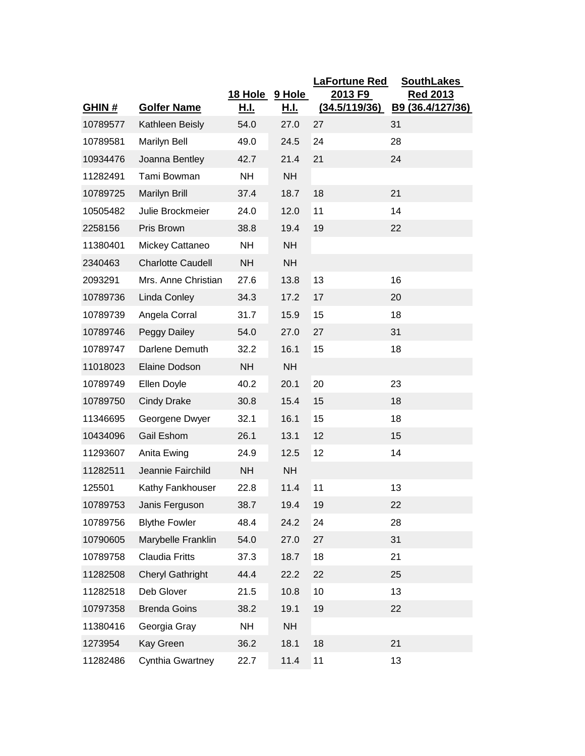|          |                          | 18 Hole     |                              | <b>LaFortune Red</b><br>2013 F9 | <b>SouthLakes</b>            |
|----------|--------------------------|-------------|------------------------------|---------------------------------|------------------------------|
| GHIN#    | <b>Golfer Name</b>       | <u>H.I.</u> | <u>9 Hole</u><br><u>H.I.</u> | (34.5/119/36)                   | Red 2013<br>B9 (36.4/127/36) |
| 10789577 | Kathleen Beisly          | 54.0        | 27.0                         | 27                              | 31                           |
| 10789581 | <b>Marilyn Bell</b>      | 49.0        | 24.5                         | 24                              | 28                           |
| 10934476 | Joanna Bentley           | 42.7        | 21.4                         | 21                              | 24                           |
| 11282491 | Tami Bowman              | <b>NH</b>   | <b>NH</b>                    |                                 |                              |
| 10789725 | Marilyn Brill            | 37.4        | 18.7                         | 18                              | 21                           |
| 10505482 | Julie Brockmeier         | 24.0        | 12.0                         | 11                              | 14                           |
| 2258156  | Pris Brown               | 38.8        | 19.4                         | 19                              | 22                           |
| 11380401 | Mickey Cattaneo          | <b>NH</b>   | <b>NH</b>                    |                                 |                              |
| 2340463  | <b>Charlotte Caudell</b> | <b>NH</b>   | <b>NH</b>                    |                                 |                              |
| 2093291  | Mrs. Anne Christian      | 27.6        | 13.8                         | 13                              | 16                           |
| 10789736 | Linda Conley             | 34.3        | 17.2                         | 17                              | 20                           |
| 10789739 | Angela Corral            | 31.7        | 15.9                         | 15                              | 18                           |
| 10789746 | Peggy Dailey             | 54.0        | 27.0                         | 27                              | 31                           |
| 10789747 | Darlene Demuth           | 32.2        | 16.1                         | 15                              | 18                           |
| 11018023 | Elaine Dodson            | <b>NH</b>   | <b>NH</b>                    |                                 |                              |
| 10789749 | Ellen Doyle              | 40.2        | 20.1                         | 20                              | 23                           |
| 10789750 | <b>Cindy Drake</b>       | 30.8        | 15.4                         | 15                              | 18                           |
| 11346695 | Georgene Dwyer           | 32.1        | 16.1                         | 15                              | 18                           |
| 10434096 | Gail Eshom               | 26.1        | 13.1                         | 12                              | 15                           |
| 11293607 | Anita Ewing              | 24.9        | 12.5                         | 12                              | 14                           |
| 11282511 | Jeannie Fairchild        | <b>NH</b>   | <b>NH</b>                    |                                 |                              |
| 125501   | Kathy Fankhouser         | 22.8        | 11.4                         | 11                              | 13                           |
| 10789753 | Janis Ferguson           | 38.7        | 19.4                         | 19                              | 22                           |
| 10789756 | <b>Blythe Fowler</b>     | 48.4        | 24.2                         | 24                              | 28                           |
| 10790605 | Marybelle Franklin       | 54.0        | 27.0                         | 27                              | 31                           |
| 10789758 | <b>Claudia Fritts</b>    | 37.3        | 18.7                         | 18                              | 21                           |
| 11282508 | <b>Cheryl Gathright</b>  | 44.4        | 22.2                         | 22                              | 25                           |
| 11282518 | Deb Glover               | 21.5        | 10.8                         | 10                              | 13                           |
| 10797358 | <b>Brenda Goins</b>      | 38.2        | 19.1                         | 19                              | 22                           |
| 11380416 | Georgia Gray             | <b>NH</b>   | <b>NH</b>                    |                                 |                              |
| 1273954  | Kay Green                | 36.2        | 18.1                         | 18                              | 21                           |
| 11282486 | Cynthia Gwartney         | 22.7        | 11.4                         | 11                              | 13                           |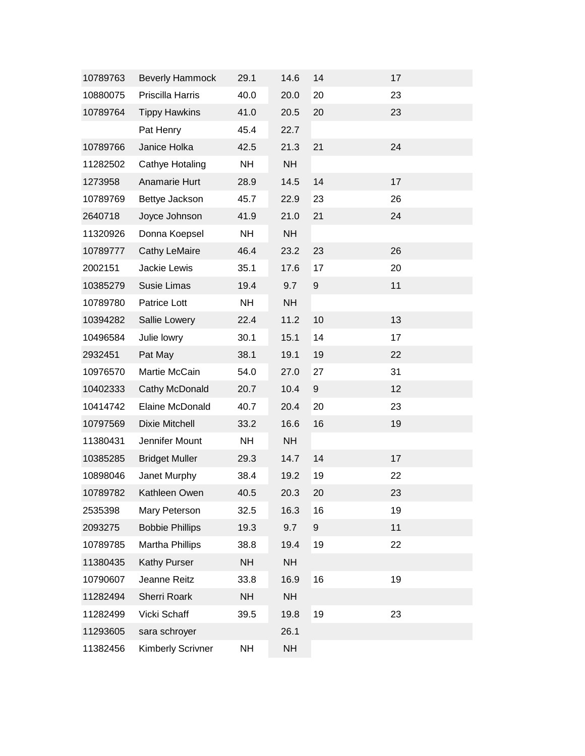| 10789763 | <b>Beverly Hammock</b>   | 29.1      | 14.6      | 14               | 17 |  |
|----------|--------------------------|-----------|-----------|------------------|----|--|
| 10880075 | Priscilla Harris         | 40.0      | 20.0      | 20               | 23 |  |
| 10789764 | <b>Tippy Hawkins</b>     | 41.0      | 20.5      | 20               | 23 |  |
|          | Pat Henry                | 45.4      | 22.7      |                  |    |  |
| 10789766 | Janice Holka             | 42.5      | 21.3      | 21               | 24 |  |
| 11282502 | Cathye Hotaling          | <b>NH</b> | <b>NH</b> |                  |    |  |
| 1273958  | Anamarie Hurt            | 28.9      | 14.5      | 14               | 17 |  |
| 10789769 | Bettye Jackson           | 45.7      | 22.9      | 23               | 26 |  |
| 2640718  | Joyce Johnson            | 41.9      | 21.0      | 21               | 24 |  |
| 11320926 | Donna Koepsel            | <b>NH</b> | <b>NH</b> |                  |    |  |
| 10789777 | <b>Cathy LeMaire</b>     | 46.4      | 23.2      | 23               | 26 |  |
| 2002151  | Jackie Lewis             | 35.1      | 17.6      | 17               | 20 |  |
| 10385279 | Susie Limas              | 19.4      | 9.7       | $\boldsymbol{9}$ | 11 |  |
| 10789780 | Patrice Lott             | <b>NH</b> | <b>NH</b> |                  |    |  |
| 10394282 | Sallie Lowery            | 22.4      | 11.2      | 10               | 13 |  |
| 10496584 | Julie lowry              | 30.1      | 15.1      | 14               | 17 |  |
| 2932451  | Pat May                  | 38.1      | 19.1      | 19               | 22 |  |
| 10976570 | Martie McCain            | 54.0      | 27.0      | 27               | 31 |  |
| 10402333 | Cathy McDonald           | 20.7      | 10.4      | $\boldsymbol{9}$ | 12 |  |
| 10414742 | Elaine McDonald          | 40.7      | 20.4      | 20               | 23 |  |
| 10797569 | Dixie Mitchell           | 33.2      | 16.6      | 16               | 19 |  |
| 11380431 | Jennifer Mount           | <b>NH</b> | <b>NH</b> |                  |    |  |
| 10385285 | <b>Bridget Muller</b>    | 29.3      | 14.7      | 14               | 17 |  |
| 10898046 | Janet Murphy             | 38.4      | 19.2      | 19               | 22 |  |
| 10789782 | Kathleen Owen            | 40.5      | 20.3      | 20               | 23 |  |
| 2535398  | Mary Peterson            | 32.5      | 16.3      | 16               | 19 |  |
| 2093275  | <b>Bobbie Phillips</b>   | 19.3      | 9.7       | $\boldsymbol{9}$ | 11 |  |
| 10789785 | <b>Martha Phillips</b>   | 38.8      | 19.4      | 19               | 22 |  |
| 11380435 | <b>Kathy Purser</b>      | <b>NH</b> | <b>NH</b> |                  |    |  |
| 10790607 | Jeanne Reitz             | 33.8      | 16.9      | 16               | 19 |  |
| 11282494 | Sherri Roark             | <b>NH</b> | <b>NH</b> |                  |    |  |
| 11282499 | Vicki Schaff             | 39.5      | 19.8      | 19               | 23 |  |
| 11293605 | sara schroyer            |           | 26.1      |                  |    |  |
| 11382456 | <b>Kimberly Scrivner</b> | <b>NH</b> | <b>NH</b> |                  |    |  |